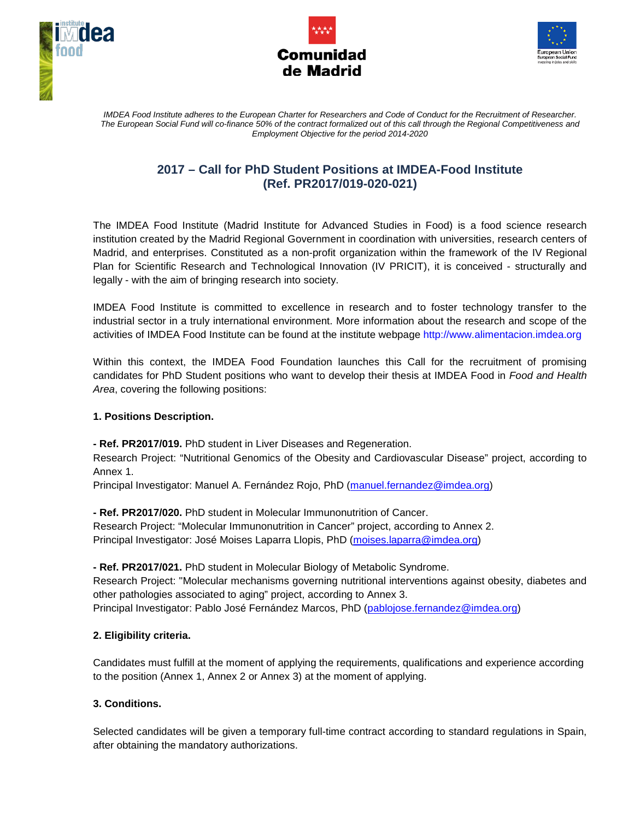





*IMDEA Food Institute adheres to the European Charter for Researchers and Code of Conduct for the Recruitment of Researcher. The European Social Fund will co-finance 50% of the contract formalized out of this call through the Regional Competitiveness and Employment Objective for the period 2014-2020*

# **2017 – Call for PhD Student Positions at IMDEA-Food Institute (Ref. PR2017/019-020-021)**

The IMDEA Food Institute (Madrid Institute for Advanced Studies in Food) is a food science research institution created by the Madrid Regional Government in coordination with universities, research centers of Madrid, and enterprises. Constituted as a non-profit organization within the framework of the IV Regional Plan for Scientific Research and Technological Innovation (IV PRICIT), it is conceived - structurally and legally - with the aim of bringing research into society.

IMDEA Food Institute is committed to excellence in research and to foster technology transfer to the industrial sector in a truly international environment. More information about the research and scope of the activities of IMDEA Food Institute can be found at the institute webpage http://www.alimentacion.imdea.org

Within this context, the IMDEA Food Foundation launches this Call for the recruitment of promising candidates for PhD Student positions who want to develop their thesis at IMDEA Food in *Food and Health Area*, covering the following positions:

## **1. Positions Description.**

**- Ref. PR2017/019.** PhD student in Liver Diseases and Regeneration.

Research Project: "Nutritional Genomics of the Obesity and Cardiovascular Disease" project, according to Annex 1.

Principal Investigator: Manuel A. Fernández Rojo, PhD [\(manuel.fernandez@imdea.org\)](mailto:jose.ordovas@imdea.org)

**- Ref. PR2017/020.** PhD student in Molecular Immunonutrition of Cancer.

Research Project: "Molecular Immunonutrition in Cancer" project, according to Annex 2. Principal Investigator: José Moises Laparra Llopis, PhD [\(moises.laparra@imdea.org\)](mailto:moises.laparra@imdea.org)

**- Ref. PR2017/021.** PhD student in Molecular Biology of Metabolic Syndrome. Research Project: "Molecular mechanisms governing nutritional interventions against obesity, diabetes and other pathologies associated to aging" project, according to Annex 3. Principal Investigator: Pablo José Fernández Marcos, PhD [\(pablojose.fernandez@imdea.org\)](mailto:pablojose.fernandez@imdea.org)

## **2. Eligibility criteria.**

Candidates must fulfill at the moment of applying the requirements, qualifications and experience according to the position (Annex 1, Annex 2 or Annex 3) at the moment of applying.

## **3. Conditions.**

Selected candidates will be given a temporary full-time contract according to standard regulations in Spain, after obtaining the mandatory authorizations.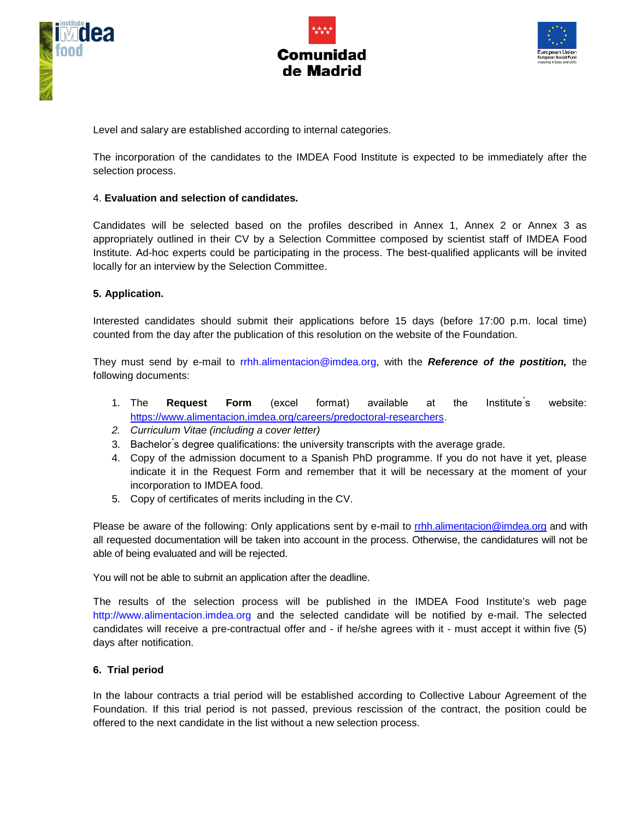





Level and salary are established according to internal categories.

The incorporation of the candidates to the IMDEA Food Institute is expected to be immediately after the selection process.

#### 4. **Evaluation and selection of candidates.**

Candidates will be selected based on the profiles described in Annex 1, Annex 2 or Annex 3 as appropriately outlined in their CV by a Selection Committee composed by scientist staff of IMDEA Food Institute. Ad-hoc experts could be participating in the process. The best-qualified applicants will be invited locally for an interview by the Selection Committee.

#### **5. Application.**

Interested candidates should submit their applications before 15 days (before 17:00 p.m. local time) counted from the day after the publication of this resolution on the website of the Foundation.

They must send by e-mail to rrhh.alimentacion@imdea.org, with the *Reference of the postition,* the following documents:

- 1. The **Request Form** (excel format) available at the Institute ́s website: [https://www.alimentacion.imdea.org/careers/predoctoral-researchers.](https://www.alimentacion.imdea.org/careers/predoctoral-researchers)
- *2. Curriculum Vitae (including a cover letter)*
- 3. Bachelor ́s degree qualifications: the university transcripts with the average grade.
- 4. Copy of the admission document to a Spanish PhD programme. If you do not have it yet, please indicate it in the Request Form and remember that it will be necessary at the moment of your incorporation to IMDEA food.
- 5. Copy of certificates of merits including in the CV.

Please be aware of the following: Only applications sent by e-mail to [rrhh.alimentacion@imdea.org](mailto:rrhh.alimentacion@imdea.org) and with all requested documentation will be taken into account in the process. Otherwise, the candidatures will not be able of being evaluated and will be rejected.

You will not be able to submit an application after the deadline.

The results of the selection process will be published in the IMDEA Food Institute's web page http://www.alimentacion.imdea.org and the selected candidate will be notified by e-mail. The selected candidates will receive a pre-contractual offer and - if he/she agrees with it - must accept it within five (5) days after notification.

#### **6. Trial period**

In the labour contracts a trial period will be established according to Collective Labour Agreement of the Foundation. If this trial period is not passed, previous rescission of the contract, the position could be offered to the next candidate in the list without a new selection process.